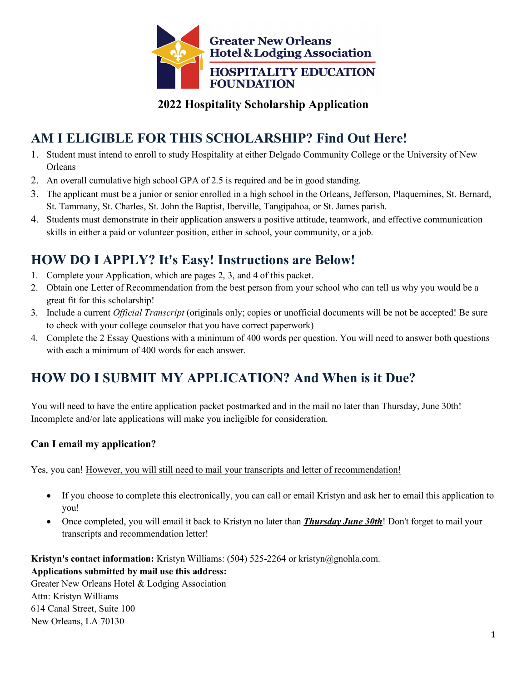

### **2022 Hospitality Scholarship Application**

# **AM I ELIGIBLE FOR THIS SCHOLARSHIP? Find Out Here!**

- 1. Student must intend to enroll to study Hospitality at either Delgado Community College or the University of New **Orleans**
- 2. An overall cumulative high school GPA of 2.5 is required and be in good standing.
- 3. The applicant must be a junior or senior enrolled in a high school in the Orleans, Jefferson, Plaquemines, St. Bernard, St. Tammany, St. Charles, St. John the Baptist, Iberville, Tangipahoa, or St. James parish.
- 4. Students must demonstrate in their application answers a positive attitude, teamwork, and effective communication skills in either a paid or volunteer position, either in school, your community, or a job.

# **HOW DO I APPLY? It's Easy! Instructions are Below!**

- 1. Complete your Application, which are pages 2, 3, and 4 of this packet.
- 2. Obtain one Letter of Recommendation from the best person from your school who can tell us why you would be a great fit for this scholarship!
- 3. Include a current *Official Transcript* (originals only; copies or unofficial documents will be not be accepted! Be sure to check with your college counselor that you have correct paperwork)
- 4. Complete the 2 Essay Questions with a minimum of 400 words per question. You will need to answer both questions with each a minimum of 400 words for each answer.

# **HOW DO I SUBMIT MY APPLICATION? And When is it Due?**

You will need to have the entire application packet postmarked and in the mail no later than Thursday, June 30th! Incomplete and/or late applications will make you ineligible for consideration.

#### **Can I email my application?**

Yes, you can! However, you will still need to mail your transcripts and letter of recommendation!

- If you choose to complete this electronically, you can call or email Kristyn and ask her to email this application to you!
- Once completed, you will email it back to Kristyn no later than *Thursday June 30th*! Don't forget to mail your transcripts and recommendation letter!

**Kristyn's contact information:** Kristyn Williams: (504) 525-2264 or kristyn@gnohla.com.

#### **Applications submitted by mail use this address:**

Greater New Orleans Hotel & Lodging Association Attn: Kristyn Williams 614 Canal Street, Suite 100 New Orleans, LA 70130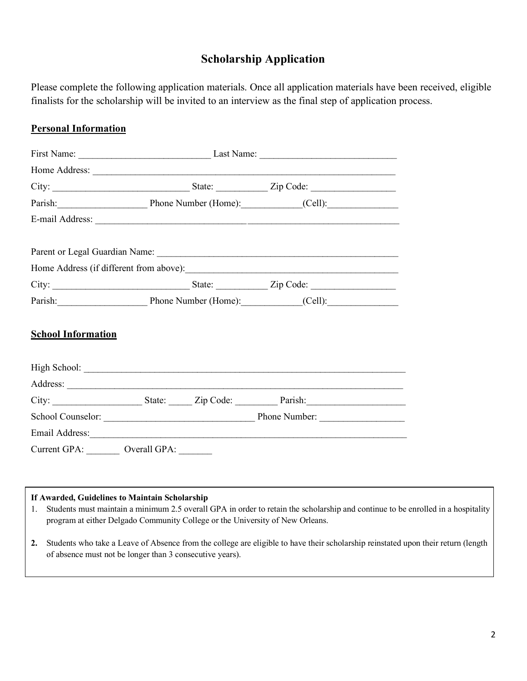## **Scholarship Application**

Please complete the following application materials. Once all application materials have been received, eligible finalists for the scholarship will be invited to an interview as the final step of application process.

#### **Personal Information**

|                                                                                                                                                                                                                                | First Name: Last Name: Last Name: |  |  |  |  |
|--------------------------------------------------------------------------------------------------------------------------------------------------------------------------------------------------------------------------------|-----------------------------------|--|--|--|--|
|                                                                                                                                                                                                                                |                                   |  |  |  |  |
|                                                                                                                                                                                                                                |                                   |  |  |  |  |
| Parish: Phone Number (Home): (Cell): (Cell):                                                                                                                                                                                   |                                   |  |  |  |  |
|                                                                                                                                                                                                                                |                                   |  |  |  |  |
|                                                                                                                                                                                                                                |                                   |  |  |  |  |
|                                                                                                                                                                                                                                |                                   |  |  |  |  |
|                                                                                                                                                                                                                                |                                   |  |  |  |  |
|                                                                                                                                                                                                                                |                                   |  |  |  |  |
| Parish: Phone Number (Home): (Cell): (Cell):                                                                                                                                                                                   |                                   |  |  |  |  |
| <b>School Information</b>                                                                                                                                                                                                      |                                   |  |  |  |  |
|                                                                                                                                                                                                                                |                                   |  |  |  |  |
|                                                                                                                                                                                                                                |                                   |  |  |  |  |
|                                                                                                                                                                                                                                |                                   |  |  |  |  |
|                                                                                                                                                                                                                                |                                   |  |  |  |  |
| Email Address: No. 1996. The Committee of the Committee of the Committee of the Committee of the Committee of the Committee of the Committee of the Committee of the Committee of the Committee of the Committee of the Commit |                                   |  |  |  |  |
| Current GPA: _________ Overall GPA: _______                                                                                                                                                                                    |                                   |  |  |  |  |

#### **If Awarded, Guidelines to Maintain Scholarship**

- 1. Students must maintain a minimum 2.5 overall GPA in order to retain the scholarship and continue to be enrolled in a hospitality program at either Delgado Community College or the University of New Orleans.
- **2.** Students who take a Leave of Absence from the college are eligible to have their scholarship reinstated upon their return (length of absence must not be longer than 3 consecutive years).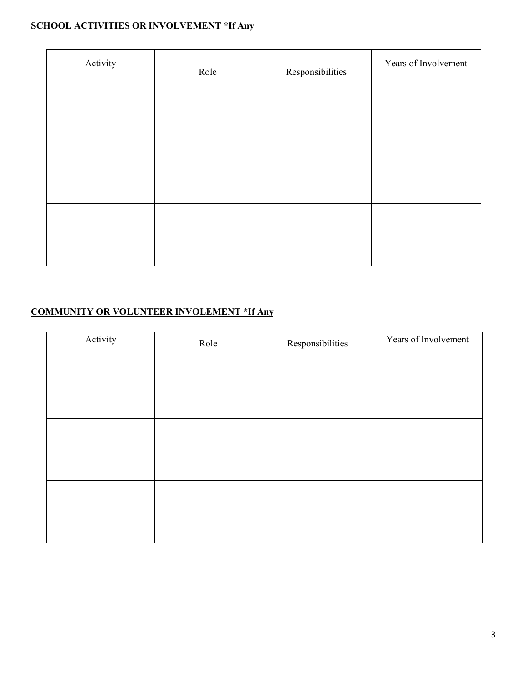### **SCHOOL ACTIVITIES OR INVOLVEMENT \*If Any**

| Activity | Role | Responsibilities | Years of Involvement |
|----------|------|------------------|----------------------|
|          |      |                  |                      |
|          |      |                  |                      |
|          |      |                  |                      |
|          |      |                  |                      |
|          |      |                  |                      |
|          |      |                  |                      |

### **COMMUNITY OR VOLUNTEER INVOLEMENT \*If Any**

| Activity | Role | Responsibilities | Years of Involvement |
|----------|------|------------------|----------------------|
|          |      |                  |                      |
|          |      |                  |                      |
|          |      |                  |                      |
|          |      |                  |                      |
|          |      |                  |                      |
|          |      |                  |                      |
|          |      |                  |                      |
|          |      |                  |                      |
|          |      |                  |                      |